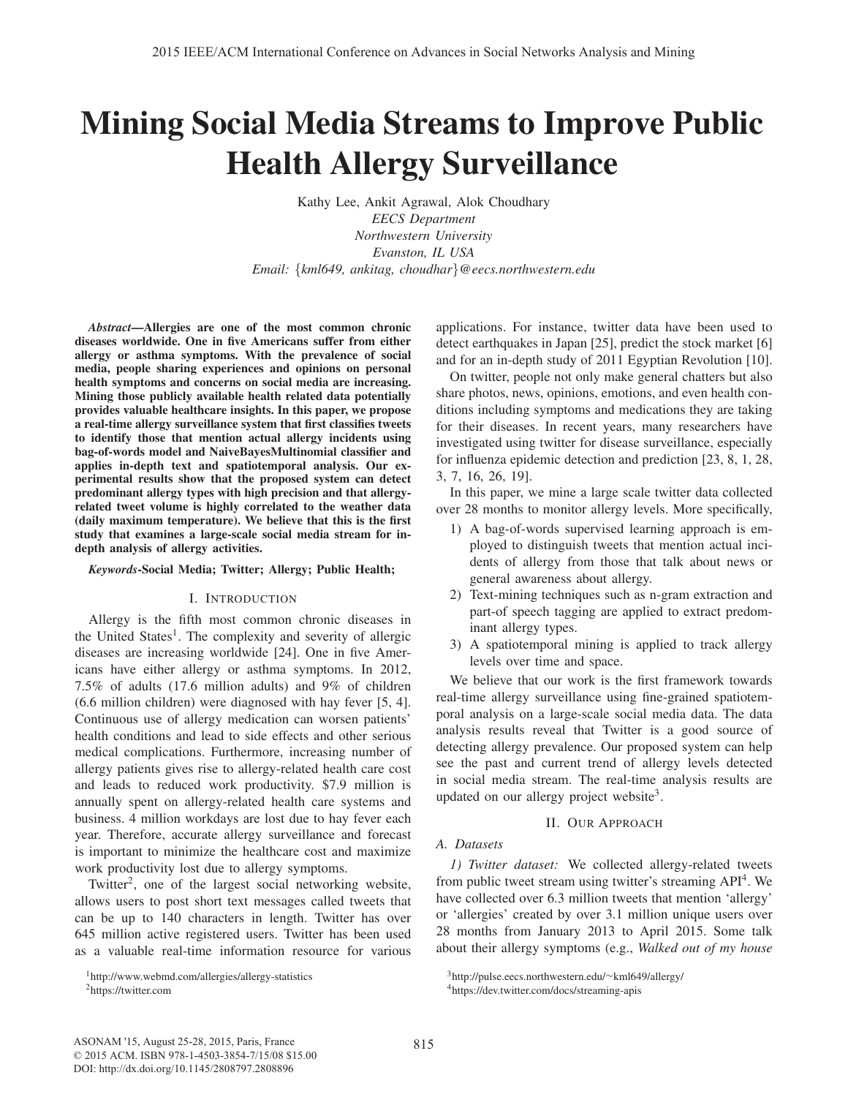# Mining Social Media Streams to Improve Public Health Allergy Surveillance

Kathy Lee, Ankit Agrawal, Alok Choudhary *EECS Department Northwestern University Evanston, IL USA Email:* {*kml649, ankitag, choudhar*}*@eecs.northwestern.edu*

*Abstract*—Allergies are one of the most common chronic diseases worldwide. One in five Americans suffer from either allergy or asthma symptoms. With the prevalence of social media, people sharing experiences and opinions on personal health symptoms and concerns on social media are increasing. Mining those publicly available health related data potentially provides valuable healthcare insights. In this paper, we propose a real-time allergy surveillance system that first classifies tweets to identify those that mention actual allergy incidents using bag-of-words model and NaiveBayesMultinomial classifier and applies in-depth text and spatiotemporal analysis. Our experimental results show that the proposed system can detect predominant allergy types with high precision and that allergyrelated tweet volume is highly correlated to the weather data (daily maximum temperature). We believe that this is the first study that examines a large-scale social media stream for indepth analysis of allergy activities.

## *Keywords*-Social Media; Twitter; Allergy; Public Health;

## I. INTRODUCTION

Allergy is the fifth most common chronic diseases in the United States<sup>1</sup>. The complexity and severity of allergic diseases are increasing worldwide [24]. One in five Americans have either allergy or asthma symptoms. In 2012, 7.5% of adults (17.6 million adults) and 9% of children (6.6 million children) were diagnosed with hay fever [5, 4]. Continuous use of allergy medication can worsen patients' health conditions and lead to side effects and other serious medical complications. Furthermore, increasing number of allergy patients gives rise to allergy-related health care cost and leads to reduced work productivity. \$7.9 million is annually spent on allergy-related health care systems and business. 4 million workdays are lost due to hay fever each year. Therefore, accurate allergy surveillance and forecast is important to minimize the healthcare cost and maximize work productivity lost due to allergy symptoms.

Twitter<sup>2</sup>, one of the largest social networking website, allows users to post short text messages called tweets that can be up to 140 characters in length. Twitter has over 645 million active registered users. Twitter has been used as a valuable real-time information resource for various applications. For instance, twitter data have been used to detect earthquakes in Japan [25], predict the stock market [6] and for an in-depth study of 2011 Egyptian Revolution [10].

On twitter, people not only make general chatters but also share photos, news, opinions, emotions, and even health conditions including symptoms and medications they are taking for their diseases. In recent years, many researchers have investigated using twitter for disease surveillance, especially for influenza epidemic detection and prediction [23, 8, 1, 28, 3, 7, 16, 26, 19].

In this paper, we mine a large scale twitter data collected over 28 months to monitor allergy levels. More specifically,

- 1) A bag-of-words supervised learning approach is employed to distinguish tweets that mention actual incidents of allergy from those that talk about news or general awareness about allergy.
- 2) Text-mining techniques such as n-gram extraction and part-of speech tagging are applied to extract predominant allergy types.
- 3) A spatiotemporal mining is applied to track allergy levels over time and space.

We believe that our work is the first framework towards real-time allergy surveillance using fine-grained spatiotemporal analysis on a large-scale social media data. The data analysis results reveal that Twitter is a good source of detecting allergy prevalence. Our proposed system can help see the past and current trend of allergy levels detected in social media stream. The real-time analysis results are updated on our allergy project website<sup>3</sup>.

# II. OUR APPROACH

# *A. Datasets*

*1) Twitter dataset:* We collected allergy-related tweets from public tweet stream using twitter's streaming API<sup>4</sup>. We have collected over 6.3 million tweets that mention 'allergy' or 'allergies' created by over 3.1 million unique users over 28 months from January 2013 to April 2015. Some talk about their allergy symptoms (e.g., *Walked out of my house*

<sup>1</sup>http://www.webmd.com/allergies/allergy-statistics

<sup>2</sup>https://twitter.com

<sup>3</sup>http://pulse.eecs.northwestern.edu/∼kml649/allergy/

<sup>4</sup>https://dev.twitter.com/docs/streaming-apis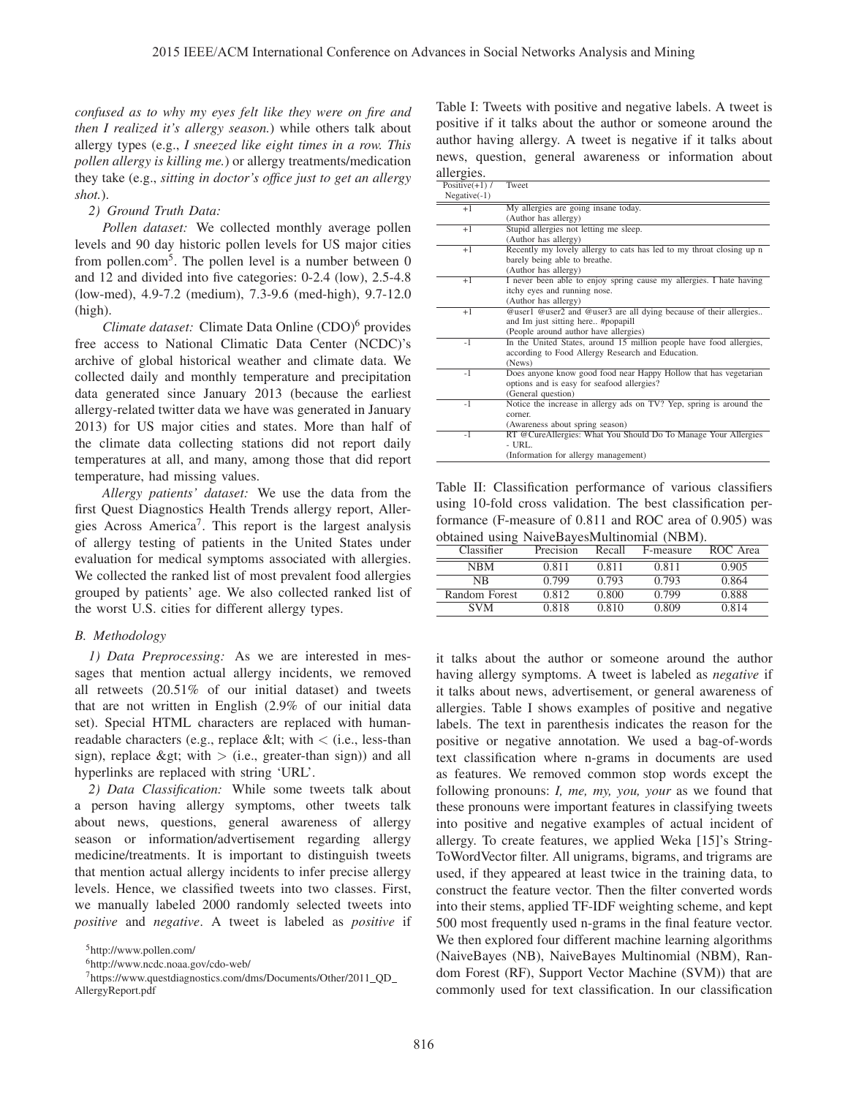*confused as to why my eyes felt like they were on fire and then I realized it's allergy season.*) while others talk about allergy types (e.g., *I sneezed like eight times in a row. This pollen allergy is killing me.*) or allergy treatments/medication they take (e.g., *sitting in doctor's office just to get an allergy shot.*).

## *2) Ground Truth Data:*

*Pollen dataset:* We collected monthly average pollen levels and 90 day historic pollen levels for US major cities from pollen.com<sup>5</sup>. The pollen level is a number between  $0$ and 12 and divided into five categories: 0-2.4 (low), 2.5-4.8 (low-med), 4.9-7.2 (medium), 7.3-9.6 (med-high), 9.7-12.0 (high).

*Climate dataset:* Climate Data Online (CDO)<sup>6</sup> provides free access to National Climatic Data Center (NCDC)'s archive of global historical weather and climate data. We collected daily and monthly temperature and precipitation data generated since January 2013 (because the earliest allergy-related twitter data we have was generated in January 2013) for US major cities and states. More than half of the climate data collecting stations did not report daily temperatures at all, and many, among those that did report temperature, had missing values.

*Allergy patients' dataset:* We use the data from the first Quest Diagnostics Health Trends allergy report, Allergies Across America<sup>7</sup>. This report is the largest analysis of allergy testing of patients in the United States under evaluation for medical symptoms associated with allergies. We collected the ranked list of most prevalent food allergies grouped by patients' age. We also collected ranked list of the worst U.S. cities for different allergy types.

## *B. Methodology*

*1) Data Preprocessing:* As we are interested in messages that mention actual allergy incidents, we removed all retweets (20.51% of our initial dataset) and tweets that are not written in English (2.9% of our initial data set). Special HTML characters are replaced with humanreadable characters (e.g., replace &It; with  $\langle$  (i.e., less-than sign), replace > with  $>$  (i.e., greater-than sign)) and all hyperlinks are replaced with string 'URL'.

*2) Data Classification:* While some tweets talk about a person having allergy symptoms, other tweets talk about news, questions, general awareness of allergy season or information/advertisement regarding allergy medicine/treatments. It is important to distinguish tweets that mention actual allergy incidents to infer precise allergy levels. Hence, we classified tweets into two classes. First, we manually labeled 2000 randomly selected tweets into *positive* and *negative*. A tweet is labeled as *positive* if

6http://www.ncdc.noaa.gov/cdo-web/

7https://www.questdiagnostics.com/dms/Documents/Other/2011 QD AllergyReport.pdf

Table I: Tweets with positive and negative labels. A tweet is positive if it talks about the author or someone around the author having allergy. A tweet is negative if it talks about news, question, general awareness or information about allergies.

| Positive $(+1)$ / | Tweet                                                                |
|-------------------|----------------------------------------------------------------------|
| $Negative(-1)$    |                                                                      |
| $+1$              | My allergies are going insane today.                                 |
|                   | (Author has allergy)                                                 |
| $+1$              | Stupid allergies not letting me sleep.                               |
|                   | (Author has allergy)                                                 |
| $+1$              | Recently my lovely allergy to cats has led to my throat closing up n |
|                   | barely being able to breathe.                                        |
|                   | (Author has allergy)                                                 |
| $+1$              | I never been able to enjoy spring cause my allergies. I hate having  |
|                   | itchy eyes and running nose.                                         |
|                   | (Author has allergy)                                                 |
| $+1$              | @user1 @user2 and @user3 are all dying because of their allergies    |
|                   | and Im just sitting here #popapill                                   |
|                   | (People around author have allergies)                                |
| $-1$              | In the United States, around 15 million people have food allergies,  |
|                   | according to Food Allergy Research and Education.                    |
|                   | (News)                                                               |
| $-1$              | Does anyone know good food near Happy Hollow that has vegetarian     |
|                   | options and is easy for seafood allergies?                           |
|                   | (General question)                                                   |
| $-1$              | Notice the increase in allergy ads on TV? Yep, spring is around the  |
|                   | corner.                                                              |
|                   | (Awareness about spring season)                                      |
| $-1$              | RT @CureAllergies: What You Should Do To Manage Your Allergies       |
|                   | $-$ URL.                                                             |
|                   | (Information for allergy management)                                 |

Table II: Classification performance of various classifiers using 10-fold cross validation. The best classification performance (F-measure of 0.811 and ROC area of 0.905) was obtained using NaiveBayesMultinomial (NBM).

| Classifier    | Precision | Recall | F-measure | ROC Area |  |  |
|---------------|-----------|--------|-----------|----------|--|--|
| <b>NBM</b>    | 0.811     | 0.811  | 0.811     | 0.905    |  |  |
| NB            | 0.799     | 0.793  | 0.793     | 0.864    |  |  |
| Random Forest | 0.812     | 0.800  | 0.799     | 0.888    |  |  |
| <b>SVM</b>    | 0.818     | 0.810  | 0.809     | 0.814    |  |  |

it talks about the author or someone around the author having allergy symptoms. A tweet is labeled as *negative* if it talks about news, advertisement, or general awareness of allergies. Table I shows examples of positive and negative labels. The text in parenthesis indicates the reason for the positive or negative annotation. We used a bag-of-words text classification where n-grams in documents are used as features. We removed common stop words except the following pronouns: *I, me, my, you, your* as we found that these pronouns were important features in classifying tweets into positive and negative examples of actual incident of allergy. To create features, we applied Weka [15]'s String-ToWordVector filter. All unigrams, bigrams, and trigrams are used, if they appeared at least twice in the training data, to construct the feature vector. Then the filter converted words into their stems, applied TF-IDF weighting scheme, and kept 500 most frequently used n-grams in the final feature vector. We then explored four different machine learning algorithms (NaiveBayes (NB), NaiveBayes Multinomial (NBM), Random Forest (RF), Support Vector Machine (SVM)) that are commonly used for text classification. In our classification

<sup>5</sup>http://www.pollen.com/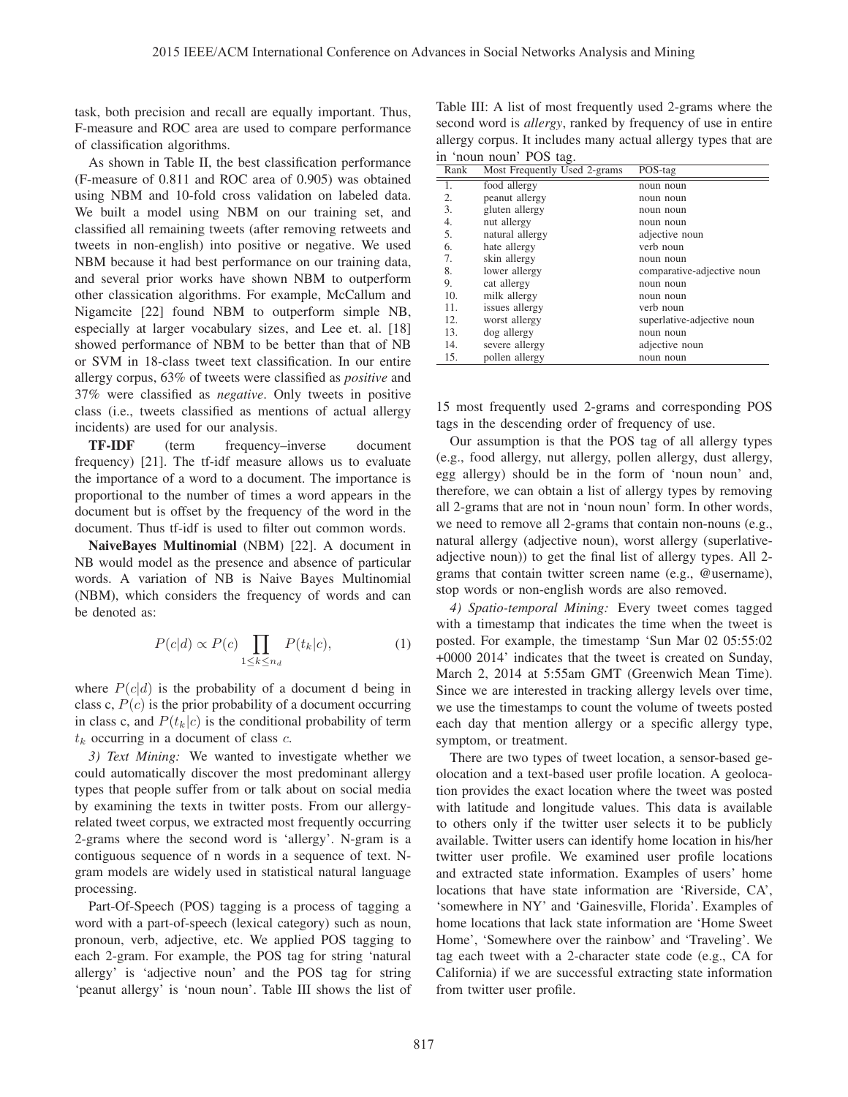task, both precision and recall are equally important. Thus, F-measure and ROC area are used to compare performance of classification algorithms.

As shown in Table II, the best classification performance (F-measure of 0.811 and ROC area of 0.905) was obtained using NBM and 10-fold cross validation on labeled data. We built a model using NBM on our training set, and classified all remaining tweets (after removing retweets and tweets in non-english) into positive or negative. We used NBM because it had best performance on our training data, and several prior works have shown NBM to outperform other classication algorithms. For example, McCallum and Nigamcite [22] found NBM to outperform simple NB, especially at larger vocabulary sizes, and Lee et. al. [18] showed performance of NBM to be better than that of NB or SVM in 18-class tweet text classification. In our entire allergy corpus, 63% of tweets were classified as *positive* and 37% were classified as *negative*. Only tweets in positive class (i.e., tweets classified as mentions of actual allergy incidents) are used for our analysis.

TF-IDF (term frequency–inverse document frequency) [21]. The tf-idf measure allows us to evaluate the importance of a word to a document. The importance is proportional to the number of times a word appears in the document but is offset by the frequency of the word in the document. Thus tf-idf is used to filter out common words.

NaiveBayes Multinomial (NBM) [22]. A document in NB would model as the presence and absence of particular words. A variation of NB is Naive Bayes Multinomial (NBM), which considers the frequency of words and can be denoted as:

$$
P(c|d) \propto P(c) \prod_{1 \le k \le n_d} P(t_k|c), \tag{1}
$$

where  $P(c|d)$  is the probability of a document d being in class c,  $P(c)$  is the prior probability of a document occurring in class c, and  $P(t_k|c)$  is the conditional probability of term  $t_k$  occurring in a document of class  $c$ .

*3) Text Mining:* We wanted to investigate whether we could automatically discover the most predominant allergy types that people suffer from or talk about on social media by examining the texts in twitter posts. From our allergyrelated tweet corpus, we extracted most frequently occurring 2-grams where the second word is 'allergy'. N-gram is a contiguous sequence of n words in a sequence of text. Ngram models are widely used in statistical natural language processing.

Part-Of-Speech (POS) tagging is a process of tagging a word with a part-of-speech (lexical category) such as noun, pronoun, verb, adjective, etc. We applied POS tagging to each 2-gram. For example, the POS tag for string 'natural allergy' is 'adjective noun' and the POS tag for string 'peanut allergy' is 'noun noun'. Table III shows the list of

Table III: A list of most frequently used 2-grams where the second word is *allergy*, ranked by frequency of use in entire allergy corpus. It includes many actual allergy types that are in 'noun noun' POS tag.

| Rank | Most Frequently Used 2-grams | POS-tag                    |
|------|------------------------------|----------------------------|
| 1.   | food allergy                 | noun noun                  |
| 2.   | peanut allergy               | noun noun                  |
| 3.   | gluten allergy               | noun noun                  |
| 4.   | nut allergy                  | noun noun                  |
| 5.   | natural allergy              | adjective noun             |
| 6.   | hate allergy                 | verb noun                  |
| 7.   | skin allergy                 | noun noun                  |
| 8.   | lower allergy                | comparative-adjective noun |
| 9.   | cat allergy                  | noun noun                  |
| 10.  | milk allergy                 | noun noun                  |
| 11.  | issues allergy               | verb noun                  |
| 12.  | worst allergy                | superlative-adjective noun |
| 13.  | dog allergy                  | noun noun                  |
| 14.  | severe allergy               | adjective noun             |
| 15.  | pollen allergy               | noun noun                  |

15 most frequently used 2-grams and corresponding POS tags in the descending order of frequency of use.

Our assumption is that the POS tag of all allergy types (e.g., food allergy, nut allergy, pollen allergy, dust allergy, egg allergy) should be in the form of 'noun noun' and, therefore, we can obtain a list of allergy types by removing all 2-grams that are not in 'noun noun' form. In other words, we need to remove all 2-grams that contain non-nouns (e.g., natural allergy (adjective noun), worst allergy (superlativeadjective noun)) to get the final list of allergy types. All 2 grams that contain twitter screen name (e.g., @username), stop words or non-english words are also removed.

*4) Spatio-temporal Mining:* Every tweet comes tagged with a timestamp that indicates the time when the tweet is posted. For example, the timestamp 'Sun Mar 02 05:55:02 +0000 2014' indicates that the tweet is created on Sunday, March 2, 2014 at 5:55am GMT (Greenwich Mean Time). Since we are interested in tracking allergy levels over time, we use the timestamps to count the volume of tweets posted each day that mention allergy or a specific allergy type, symptom, or treatment.

There are two types of tweet location, a sensor-based geolocation and a text-based user profile location. A geolocation provides the exact location where the tweet was posted with latitude and longitude values. This data is available to others only if the twitter user selects it to be publicly available. Twitter users can identify home location in his/her twitter user profile. We examined user profile locations and extracted state information. Examples of users' home locations that have state information are 'Riverside, CA', 'somewhere in NY' and 'Gainesville, Florida'. Examples of home locations that lack state information are 'Home Sweet Home', 'Somewhere over the rainbow' and 'Traveling'. We tag each tweet with a 2-character state code (e.g., CA for California) if we are successful extracting state information from twitter user profile.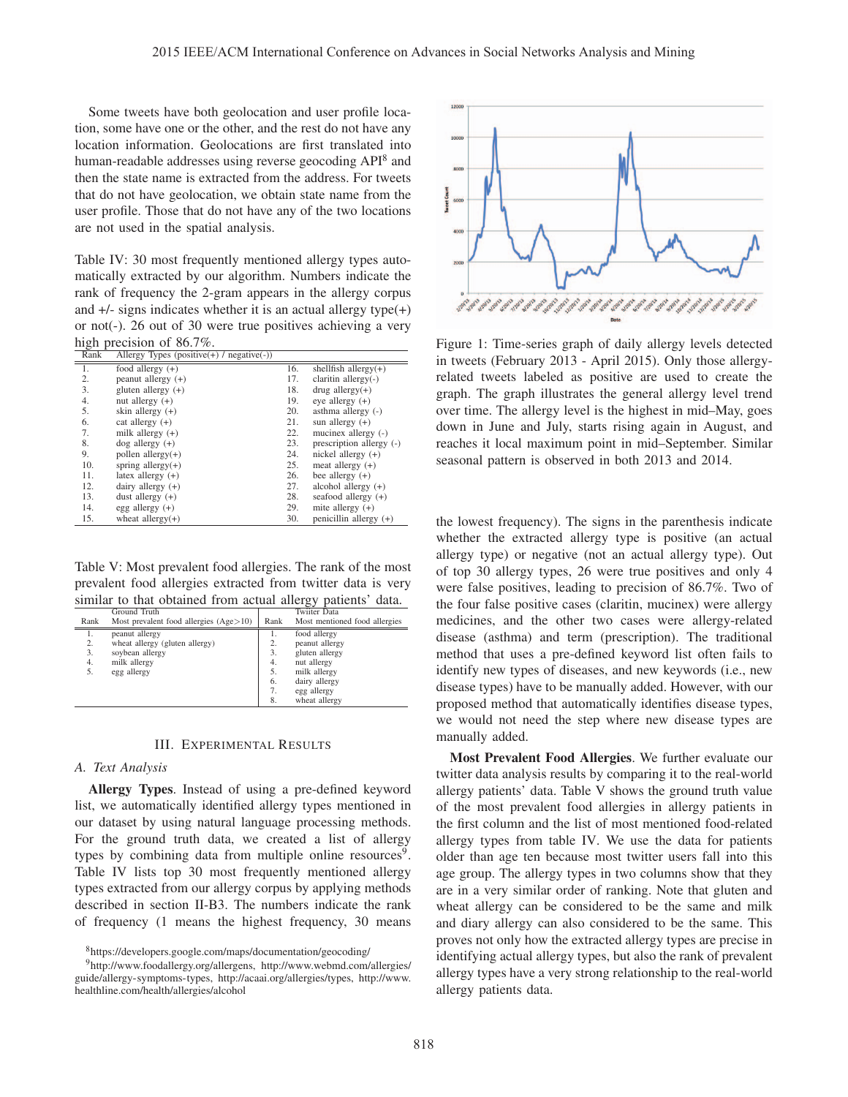Some tweets have both geolocation and user profile location, some have one or the other, and the rest do not have any location information. Geolocations are first translated into human-readable addresses using reverse geocoding API<sup>8</sup> and then the state name is extracted from the address. For tweets that do not have geolocation, we obtain state name from the user profile. Those that do not have any of the two locations are not used in the spatial analysis.

Table IV: 30 most frequently mentioned allergy types automatically extracted by our algorithm. Numbers indicate the rank of frequency the 2-gram appears in the allergy corpus and  $+/-$  signs indicates whether it is an actual allergy type $(+)$ or not(-). 26 out of 30 were true positives achieving a very high precision of 86.7%.

| Rank | Allergy Types (positive(+) / $negative(-)$ ) |     |                          |
|------|----------------------------------------------|-----|--------------------------|
| 1.   | food allergy $(+)$                           | 16. | shellfish allergy $(+)$  |
| 2.   | peanut allergy $(+)$                         | 17. | claritin allergy $(-)$   |
| 3.   | gluten allergy $(+)$                         | 18. | $drug$ allergy(+)        |
| 4.   | nut allergy $(+)$                            | 19. | eye allergy $(+)$        |
| 5.   | skin allergy $(+)$                           | 20. | asthma allergy $(-)$     |
| 6.   | cat allergy $(+)$                            | 21. | sun allergy $(+)$        |
| 7.   | milk allergy $(+)$                           | 22. | mucinex allergy (-)      |
| 8.   | $\log$ allergy $(+)$                         | 23. | prescription allergy (-) |
| 9.   | pollen allergy $(+)$                         | 24. | nickel allergy $(+)$     |
| 10.  | spring allergy $(+)$                         | 25. | meat allergy $(+)$       |
| 11.  | latex allergy $(+)$                          | 26. | bee allergy $(+)$        |
| 12.  | dairy allergy $(+)$                          | 27. | alcohol allergy $(+)$    |
| 13.  | dust allergy $(+)$                           | 28. | seafood allergy $(+)$    |
| 14.  | egg allergy $(+)$                            | 29. | mite allergy $(+)$       |
| 15.  | wheat allergy $(+)$                          | 30. | penicillin allergy $(+)$ |

Table V: Most prevalent food allergies. The rank of the most prevalent food allergies extracted from twitter data is very similar to that obtained from actual allergy patients' data.

|      | Ground Truth                             |      | Twiiter Data                  |
|------|------------------------------------------|------|-------------------------------|
| Rank | Most prevalent food allergies $(Age>10)$ | Rank | Most mentioned food allergies |
| 1.   | peanut allergy                           | ı.   | food allergy                  |
| 2.   | wheat allergy (gluten allergy)           | 2.   | peanut allergy                |
| 3.   | soybean allergy                          | 3.   | gluten allergy                |
| 4.   | milk allergy                             | 4.   | nut allergy                   |
| 5.   | egg allergy                              | 5.   | milk allergy                  |
|      |                                          | 6.   | dairy allergy                 |
|      |                                          | 7.   | egg allergy                   |
|      |                                          | 8.   | wheat allergy                 |

#### III. EXPERIMENTAL RESULTS

## *A. Text Analysis*

Allergy Types. Instead of using a pre-defined keyword list, we automatically identified allergy types mentioned in our dataset by using natural language processing methods. For the ground truth data, we created a list of allergy types by combining data from multiple online resources<sup>9</sup>. Table IV lists top 30 most frequently mentioned allergy types extracted from our allergy corpus by applying methods described in section II-B3. The numbers indicate the rank of frequency (1 means the highest frequency, 30 means



Figure 1: Time-series graph of daily allergy levels detected in tweets (February 2013 - April 2015). Only those allergyrelated tweets labeled as positive are used to create the graph. The graph illustrates the general allergy level trend over time. The allergy level is the highest in mid–May, goes down in June and July, starts rising again in August, and reaches it local maximum point in mid–September. Similar seasonal pattern is observed in both 2013 and 2014.

the lowest frequency). The signs in the parenthesis indicate whether the extracted allergy type is positive (an actual allergy type) or negative (not an actual allergy type). Out of top 30 allergy types, 26 were true positives and only 4 were false positives, leading to precision of 86.7%. Two of the four false positive cases (claritin, mucinex) were allergy medicines, and the other two cases were allergy-related disease (asthma) and term (prescription). The traditional method that uses a pre-defined keyword list often fails to identify new types of diseases, and new keywords (i.e., new disease types) have to be manually added. However, with our proposed method that automatically identifies disease types, we would not need the step where new disease types are manually added.

Most Prevalent Food Allergies. We further evaluate our twitter data analysis results by comparing it to the real-world allergy patients' data. Table V shows the ground truth value of the most prevalent food allergies in allergy patients in the first column and the list of most mentioned food-related allergy types from table IV. We use the data for patients older than age ten because most twitter users fall into this age group. The allergy types in two columns show that they are in a very similar order of ranking. Note that gluten and wheat allergy can be considered to be the same and milk and diary allergy can also considered to be the same. This proves not only how the extracted allergy types are precise in identifying actual allergy types, but also the rank of prevalent allergy types have a very strong relationship to the real-world allergy patients data.

<sup>8</sup>https://developers.google.com/maps/documentation/geocoding/

<sup>9</sup>http://www.foodallergy.org/allergens, http://www.webmd.com/allergies/ guide/allergy-symptoms-types, http://acaai.org/allergies/types, http://www. healthline.com/health/allergies/alcohol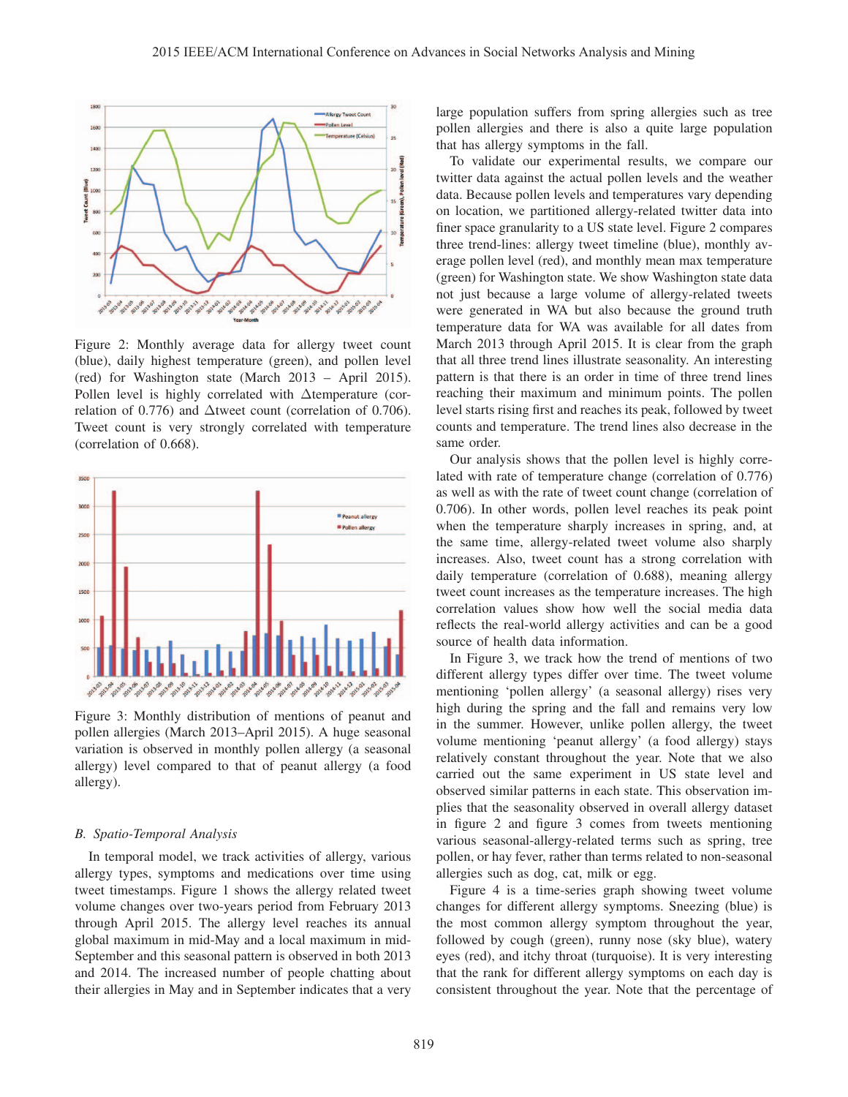

Figure 2: Monthly average data for allergy tweet count (blue), daily highest temperature (green), and pollen level (red) for Washington state (March 2013 – April 2015). Pollen level is highly correlated with Δtemperature (correlation of 0.776) and Δtweet count (correlation of 0.706). Tweet count is very strongly correlated with temperature (correlation of 0.668).



Figure 3: Monthly distribution of mentions of peanut and pollen allergies (March 2013–April 2015). A huge seasonal variation is observed in monthly pollen allergy (a seasonal allergy) level compared to that of peanut allergy (a food allergy).

## *B. Spatio-Temporal Analysis*

In temporal model, we track activities of allergy, various allergy types, symptoms and medications over time using tweet timestamps. Figure 1 shows the allergy related tweet volume changes over two-years period from February 2013 through April 2015. The allergy level reaches its annual global maximum in mid-May and a local maximum in mid-September and this seasonal pattern is observed in both 2013 and 2014. The increased number of people chatting about their allergies in May and in September indicates that a very large population suffers from spring allergies such as tree pollen allergies and there is also a quite large population that has allergy symptoms in the fall.

To validate our experimental results, we compare our twitter data against the actual pollen levels and the weather data. Because pollen levels and temperatures vary depending on location, we partitioned allergy-related twitter data into finer space granularity to a US state level. Figure 2 compares three trend-lines: allergy tweet timeline (blue), monthly average pollen level (red), and monthly mean max temperature (green) for Washington state. We show Washington state data not just because a large volume of allergy-related tweets were generated in WA but also because the ground truth temperature data for WA was available for all dates from March 2013 through April 2015. It is clear from the graph that all three trend lines illustrate seasonality. An interesting pattern is that there is an order in time of three trend lines reaching their maximum and minimum points. The pollen level starts rising first and reaches its peak, followed by tweet counts and temperature. The trend lines also decrease in the same order.

Our analysis shows that the pollen level is highly correlated with rate of temperature change (correlation of 0.776) as well as with the rate of tweet count change (correlation of 0.706). In other words, pollen level reaches its peak point when the temperature sharply increases in spring, and, at the same time, allergy-related tweet volume also sharply increases. Also, tweet count has a strong correlation with daily temperature (correlation of 0.688), meaning allergy tweet count increases as the temperature increases. The high correlation values show how well the social media data reflects the real-world allergy activities and can be a good source of health data information.

In Figure 3, we track how the trend of mentions of two different allergy types differ over time. The tweet volume mentioning 'pollen allergy' (a seasonal allergy) rises very high during the spring and the fall and remains very low in the summer. However, unlike pollen allergy, the tweet volume mentioning 'peanut allergy' (a food allergy) stays relatively constant throughout the year. Note that we also carried out the same experiment in US state level and observed similar patterns in each state. This observation implies that the seasonality observed in overall allergy dataset in figure 2 and figure 3 comes from tweets mentioning various seasonal-allergy-related terms such as spring, tree pollen, or hay fever, rather than terms related to non-seasonal allergies such as dog, cat, milk or egg.

Figure 4 is a time-series graph showing tweet volume changes for different allergy symptoms. Sneezing (blue) is the most common allergy symptom throughout the year, followed by cough (green), runny nose (sky blue), watery eyes (red), and itchy throat (turquoise). It is very interesting that the rank for different allergy symptoms on each day is consistent throughout the year. Note that the percentage of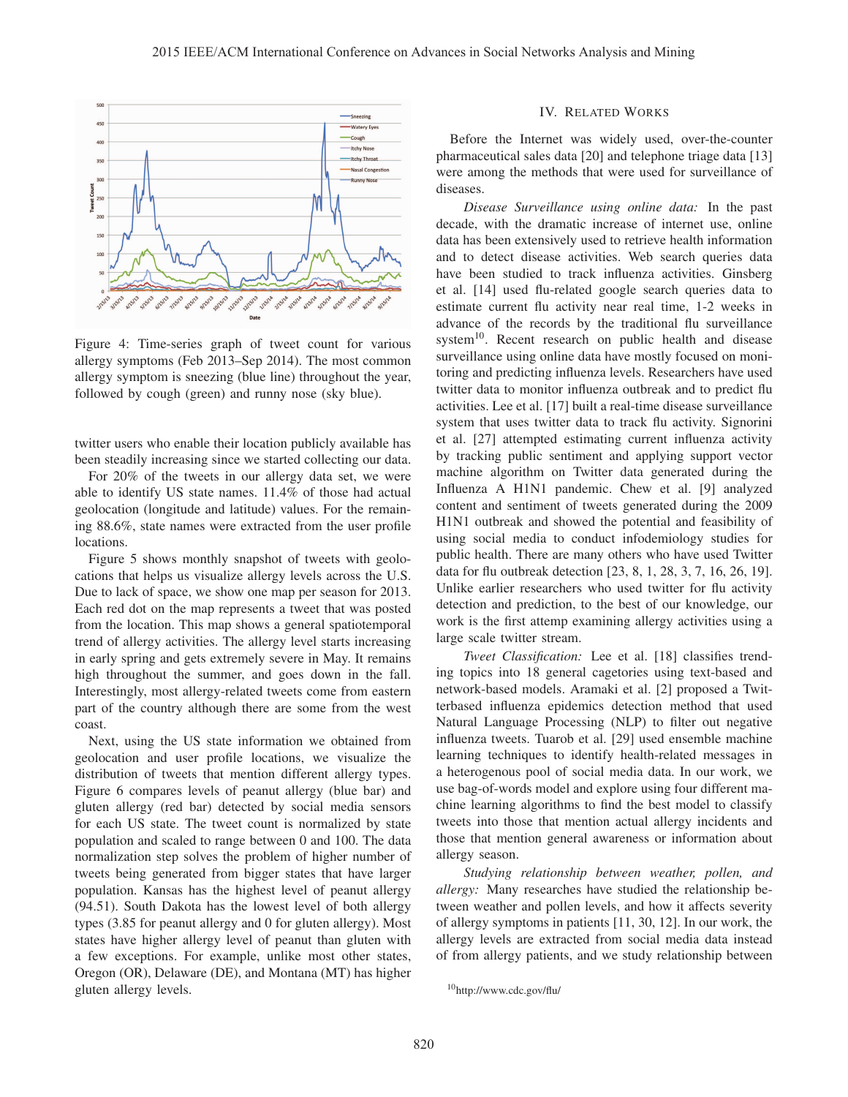

Figure 4: Time-series graph of tweet count for various allergy symptoms (Feb 2013–Sep 2014). The most common allergy symptom is sneezing (blue line) throughout the year, followed by cough (green) and runny nose (sky blue).

twitter users who enable their location publicly available has been steadily increasing since we started collecting our data.

For 20% of the tweets in our allergy data set, we were able to identify US state names. 11.4% of those had actual geolocation (longitude and latitude) values. For the remaining 88.6%, state names were extracted from the user profile locations.

Figure 5 shows monthly snapshot of tweets with geolocations that helps us visualize allergy levels across the U.S. Due to lack of space, we show one map per season for 2013. Each red dot on the map represents a tweet that was posted from the location. This map shows a general spatiotemporal trend of allergy activities. The allergy level starts increasing in early spring and gets extremely severe in May. It remains high throughout the summer, and goes down in the fall. Interestingly, most allergy-related tweets come from eastern part of the country although there are some from the west coast.

Next, using the US state information we obtained from geolocation and user profile locations, we visualize the distribution of tweets that mention different allergy types. Figure 6 compares levels of peanut allergy (blue bar) and gluten allergy (red bar) detected by social media sensors for each US state. The tweet count is normalized by state population and scaled to range between 0 and 100. The data normalization step solves the problem of higher number of tweets being generated from bigger states that have larger population. Kansas has the highest level of peanut allergy (94.51). South Dakota has the lowest level of both allergy types (3.85 for peanut allergy and 0 for gluten allergy). Most states have higher allergy level of peanut than gluten with a few exceptions. For example, unlike most other states, Oregon (OR), Delaware (DE), and Montana (MT) has higher gluten allergy levels.

# IV. RELATED WORKS

Before the Internet was widely used, over-the-counter pharmaceutical sales data [20] and telephone triage data [13] were among the methods that were used for surveillance of diseases.

*Disease Surveillance using online data:* In the past decade, with the dramatic increase of internet use, online data has been extensively used to retrieve health information and to detect disease activities. Web search queries data have been studied to track influenza activities. Ginsberg et al. [14] used flu-related google search queries data to estimate current flu activity near real time, 1-2 weeks in advance of the records by the traditional flu surveillance system<sup>10</sup>. Recent research on public health and disease surveillance using online data have mostly focused on monitoring and predicting influenza levels. Researchers have used twitter data to monitor influenza outbreak and to predict flu activities. Lee et al. [17] built a real-time disease surveillance system that uses twitter data to track flu activity. Signorini et al. [27] attempted estimating current influenza activity by tracking public sentiment and applying support vector machine algorithm on Twitter data generated during the Influenza A H1N1 pandemic. Chew et al. [9] analyzed content and sentiment of tweets generated during the 2009 H1N1 outbreak and showed the potential and feasibility of using social media to conduct infodemiology studies for public health. There are many others who have used Twitter data for flu outbreak detection [23, 8, 1, 28, 3, 7, 16, 26, 19]. Unlike earlier researchers who used twitter for flu activity detection and prediction, to the best of our knowledge, our work is the first attemp examining allergy activities using a large scale twitter stream.

*Tweet Classification:* Lee et al. [18] classifies trending topics into 18 general cagetories using text-based and network-based models. Aramaki et al. [2] proposed a Twitterbased influenza epidemics detection method that used Natural Language Processing (NLP) to filter out negative influenza tweets. Tuarob et al. [29] used ensemble machine learning techniques to identify health-related messages in a heterogenous pool of social media data. In our work, we use bag-of-words model and explore using four different machine learning algorithms to find the best model to classify tweets into those that mention actual allergy incidents and those that mention general awareness or information about allergy season.

*Studying relationship between weather, pollen, and allergy:* Many researches have studied the relationship between weather and pollen levels, and how it affects severity of allergy symptoms in patients [11, 30, 12]. In our work, the allergy levels are extracted from social media data instead of from allergy patients, and we study relationship between

<sup>10</sup>http://www.cdc.gov/flu/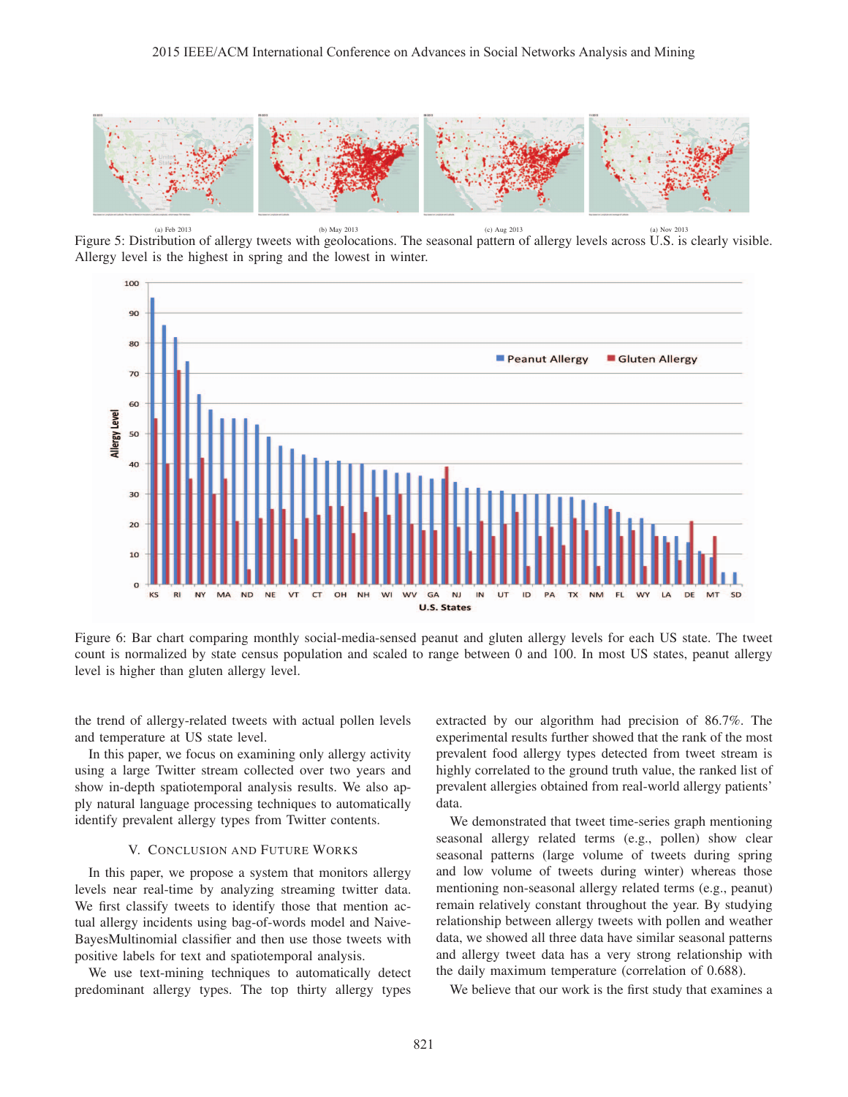

(a) Feb 2013 (a) Nov 2013 (b) May 2013 (c) Aug 2013 (c) Aug 2013 (a) Nov 2013 Figure 5: Distribution of allergy tweets with geolocations. The seasonal pattern of allergy levels across U.S. is clearly visible. Allergy level is the highest in spring and the lowest in winter.



Figure 6: Bar chart comparing monthly social-media-sensed peanut and gluten allergy levels for each US state. The tweet count is normalized by state census population and scaled to range between 0 and 100. In most US states, peanut allergy level is higher than gluten allergy level.

the trend of allergy-related tweets with actual pollen levels and temperature at US state level.

In this paper, we focus on examining only allergy activity using a large Twitter stream collected over two years and show in-depth spatiotemporal analysis results. We also apply natural language processing techniques to automatically identify prevalent allergy types from Twitter contents.

## V. CONCLUSION AND FUTURE WORKS

In this paper, we propose a system that monitors allergy levels near real-time by analyzing streaming twitter data. We first classify tweets to identify those that mention actual allergy incidents using bag-of-words model and Naive-BayesMultinomial classifier and then use those tweets with positive labels for text and spatiotemporal analysis.

We use text-mining techniques to automatically detect predominant allergy types. The top thirty allergy types extracted by our algorithm had precision of 86.7%. The experimental results further showed that the rank of the most prevalent food allergy types detected from tweet stream is highly correlated to the ground truth value, the ranked list of prevalent allergies obtained from real-world allergy patients' data.

We demonstrated that tweet time-series graph mentioning seasonal allergy related terms (e.g., pollen) show clear seasonal patterns (large volume of tweets during spring and low volume of tweets during winter) whereas those mentioning non-seasonal allergy related terms (e.g., peanut) remain relatively constant throughout the year. By studying relationship between allergy tweets with pollen and weather data, we showed all three data have similar seasonal patterns and allergy tweet data has a very strong relationship with the daily maximum temperature (correlation of 0.688).

We believe that our work is the first study that examines a